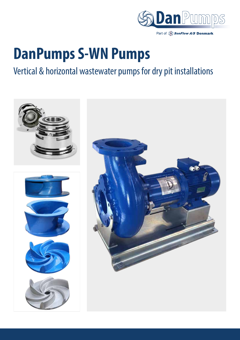

Part of SonFlow A/S Denmark

# **DanPumps S-WN Pumps**

## Vertical & horizontal wastewater pumps for dry pit installations

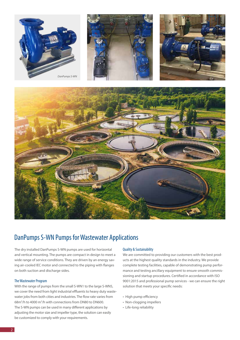







### DanPumps S-WN Pumps for Wastewater Applications

The dry installed DanPumps S-WN pumps are used for horizontal and vertical mounting. The pumps are compact in design to meet a wide range of service conditions. They are driven by an energy saving air-cooled IEC motor and connected to the piping with flanges on both suction and discharge sides.

#### The Wastewater Program

With the range of pumps from the small S-WN1 to the large S-WN5, we cover the need from light industrial effluents to heavy duty wastewater jobs from both cities and industries. The flow rate varies from 68m<sup>3</sup>/h to 4000 m<sup>3</sup>/h with connections from DN80 to DN600. The S-WN pumps can be used in many different applications by adjusting the motor size and impeller type, the solution can easily be customized to comply with your requirements.

#### Quality & Sustainability

We are committed to providing our customers with the best products at the highest quality standards in the industry. We provide complete testing facilities, capable of demonstrating pump performance and testing ancillary equipment to ensure smooth commissioning and startup procedures. Certified in accordance with ISO 9001:2015 and professional pump services - we can ensure the right solution that meets your specific needs:

- High pump efficiency
- Non-clogging impellers
- Life-long reliability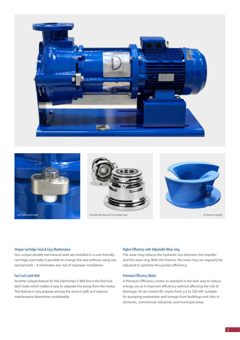







#### Unique Cartridge Seals & Easy Maintenance

Our unique double mechanical seals are installed in a user-friendly cartridge and make it possible to change the seal without using any special tools – it eliminates any risk of improper installation.

#### Fast Lock Latch Bolt

Another unique feature for the DanPumps S-WN-line is the fast lock latch bolts which makes it easy to separate the pump from the motor. This feature is very popular among the service staff, as it reduces maintenance downtime considerably.

#### Higher Efficiency with Adjustable Wear-ring.

The wear-ring reduces the hydraulic loss between the impeller and the wear-ring. With this feature, the wear-ring can regularly be adjusted to optimize the pump's efficiency.

#### Premium Efficiency Motor

A Premium Efficiency motor as standard is the best way to reduce energy use as it improves efficiency without affecting the risk of blockage. An air-cooled IEC motor from 2,2 to 200 kW. Suitable for pumping wastewater and sewage from buildings and sites in domestic, commercial, industrial, and municipal areas.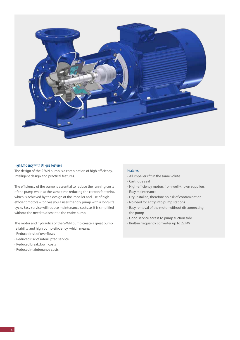

#### High Efficiency with Unique Features

The design of the S-WN pump is a combination of high efficiency, intelligent design and practical features.

The efficiency of the pump is essential to reduce the running costs of the pump while at the same time reducing the carbon footprint, which is achieved by the design of the impeller and use of highefficient motors – it gives you a user-friendly pump with a long-life cycle. Easy service will reduce maintenance costs, as it is simplified without the need to dismantle the entire pump.

The motor and hydraulics of the S-WN pump create a great pump reliability and high pump efficiency, which means:

- Reduced risk of overflows
- Reduced risk of interrupted service
- Reduced breakdown costs
- Reduced maintenance costs

#### Features:

- All impellers fit in the same volute
- Cartridge seal
- High-efficiency motors from well-known suppliers
- Easy maintenance
- Dry-installed, therefore no risk of contamination
- No need for entry into pump stations
- Easy removal of the motor without disconnecting the pump
- Good service access to pump suction side
- Built-in frequency converter up to 22 kW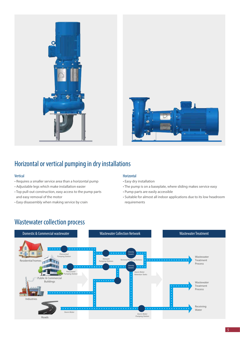



## Horizontal or vertical pumping in dry installations

#### Vertical

- Requires a smaller service area than a horizontal pump
- Adjustable legs which make installation easier
- Top pull-out construction, easy access to the pump parts and easy removal of the motor
- Easy disassembly when making service by crain

#### Horizontal

- Easy dry installation
- The pump is on a baseplate, where sliding makes service easy
- Pump parts are easily accessible
- Suitable for almost all indoor applications due to its low headroom requirements

## Wastewater collection process

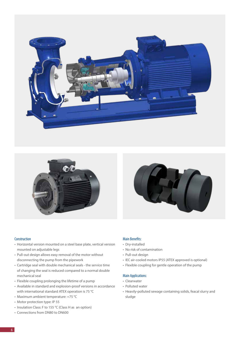





#### **Construction**

- Horizontal version mounted on a steel base plate, vertical version mounted on adjustable legs
- Pull-out design allows easy removal of the motor without disconnecting the pump from the pipework
- Cartridge seal with double mechanical seals the service time of changing the seal is reduced compared to a normal double mechanical seal
- Flexible coupling prolonging the lifetime of a pump
- Available in standard and explosion-proof versions in accordance with international standard ATEX operation is 75 °C
- Maximum ambient temperature: +75 °C
- Motor protection type: IP 55
- Insulation Class: F to 155 °C (Class H as an option)
- Connections from DN80 to DN600

#### Main Benefits:

- Dry-installed
- No risk of contamination
- Pull-out design
- IEC air-cooled motors IP55 (ATEX approved is optional)
- Flexible coupling for gentle operation of the pump

#### Main Applications:

- Clearwater
- Polluted water
- Heavily-polluted sewage containing solids, feacal slurry and sludge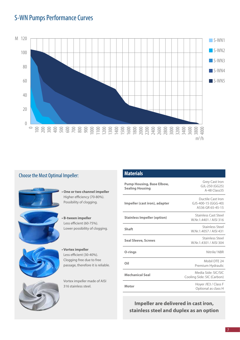## S-WN Pumps Performance Curves



#### Choose the Most Optimal Impeller:



**• One or two channel impeller** Higher efficiency (70-80%). Possibility of clogging.



**• B-tween impeller** Less efficient (60-75%).





**• Vortex impeller** Less efficient (30-40%). Clogging free due to free passage, therefore it is reliable.

Vortex impeller made of AISI 316 stainless steel.

#### **Materials Pump Housing, Base Elbow, Sealing Housing**  Grey Cast Iron GJL-250 (GG25) A-48 Class35 **Impeller (cast iron), adapter**  Ductile Cast Iron GJS-400-15 (GGG-40) A536 GR 65-45-15 **Stainless Impeller (option)** Stainless Cast Steel W.Nr.1.4401 / AISI 316 **Shaft** Stainless Steel W.Nr.1.4057 / AISI 431 Seal Sleeve, Screws<br>
Stainless Steel<br>
Stainless Steel<br>
Stainless Steel<br>
Stainless Steel W.Nr.1.4301 / AISI 304 **O-rings** Nitrile/ NBR **Oil** Mobil DTE 24 Premium Hydraulic **Mechanical Seal** Media Side: SIC/SIC Cooling Side: SIC (Carbon) **Motor** Hoyer /IE3 / Class F Optional as class H

#### **Impeller are delivered in cast iron, stainless steel and duplex as an option**